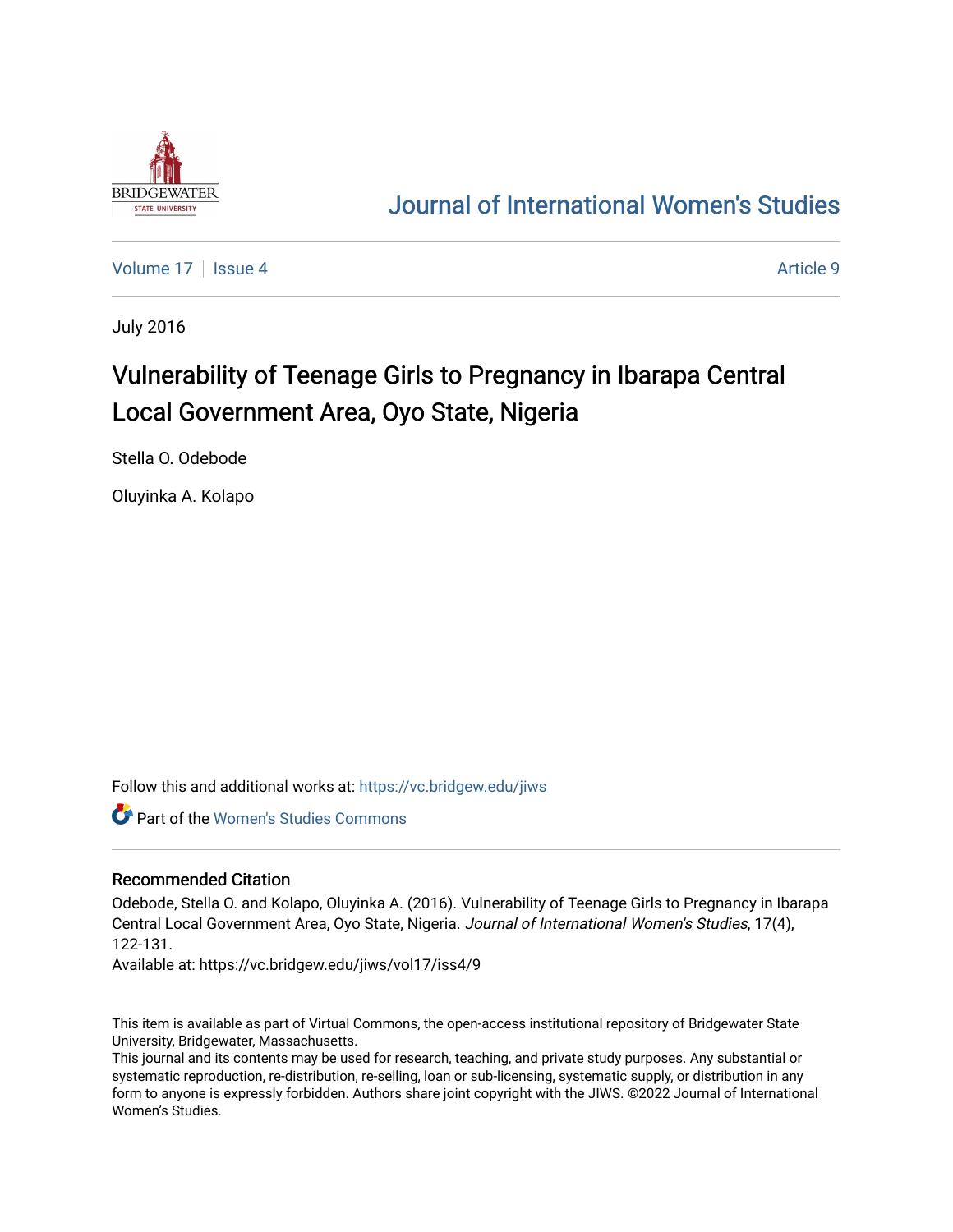

## [Journal of International Women's Studies](https://vc.bridgew.edu/jiws)

[Volume 17](https://vc.bridgew.edu/jiws/vol17) Setupate 4 Article 9

July 2016

# Vulnerability of Teenage Girls to Pregnancy in Ibarapa Central Local Government Area, Oyo State, Nigeria

Stella O. Odebode

Oluyinka A. Kolapo

Follow this and additional works at: [https://vc.bridgew.edu/jiws](https://vc.bridgew.edu/jiws?utm_source=vc.bridgew.edu%2Fjiws%2Fvol17%2Fiss4%2F9&utm_medium=PDF&utm_campaign=PDFCoverPages)

Part of the [Women's Studies Commons](http://network.bepress.com/hgg/discipline/561?utm_source=vc.bridgew.edu%2Fjiws%2Fvol17%2Fiss4%2F9&utm_medium=PDF&utm_campaign=PDFCoverPages) 

#### Recommended Citation

Odebode, Stella O. and Kolapo, Oluyinka A. (2016). Vulnerability of Teenage Girls to Pregnancy in Ibarapa Central Local Government Area, Oyo State, Nigeria. Journal of International Women's Studies, 17(4), 122-131.

Available at: https://vc.bridgew.edu/jiws/vol17/iss4/9

This item is available as part of Virtual Commons, the open-access institutional repository of Bridgewater State University, Bridgewater, Massachusetts.

This journal and its contents may be used for research, teaching, and private study purposes. Any substantial or systematic reproduction, re-distribution, re-selling, loan or sub-licensing, systematic supply, or distribution in any form to anyone is expressly forbidden. Authors share joint copyright with the JIWS. ©2022 Journal of International Women's Studies.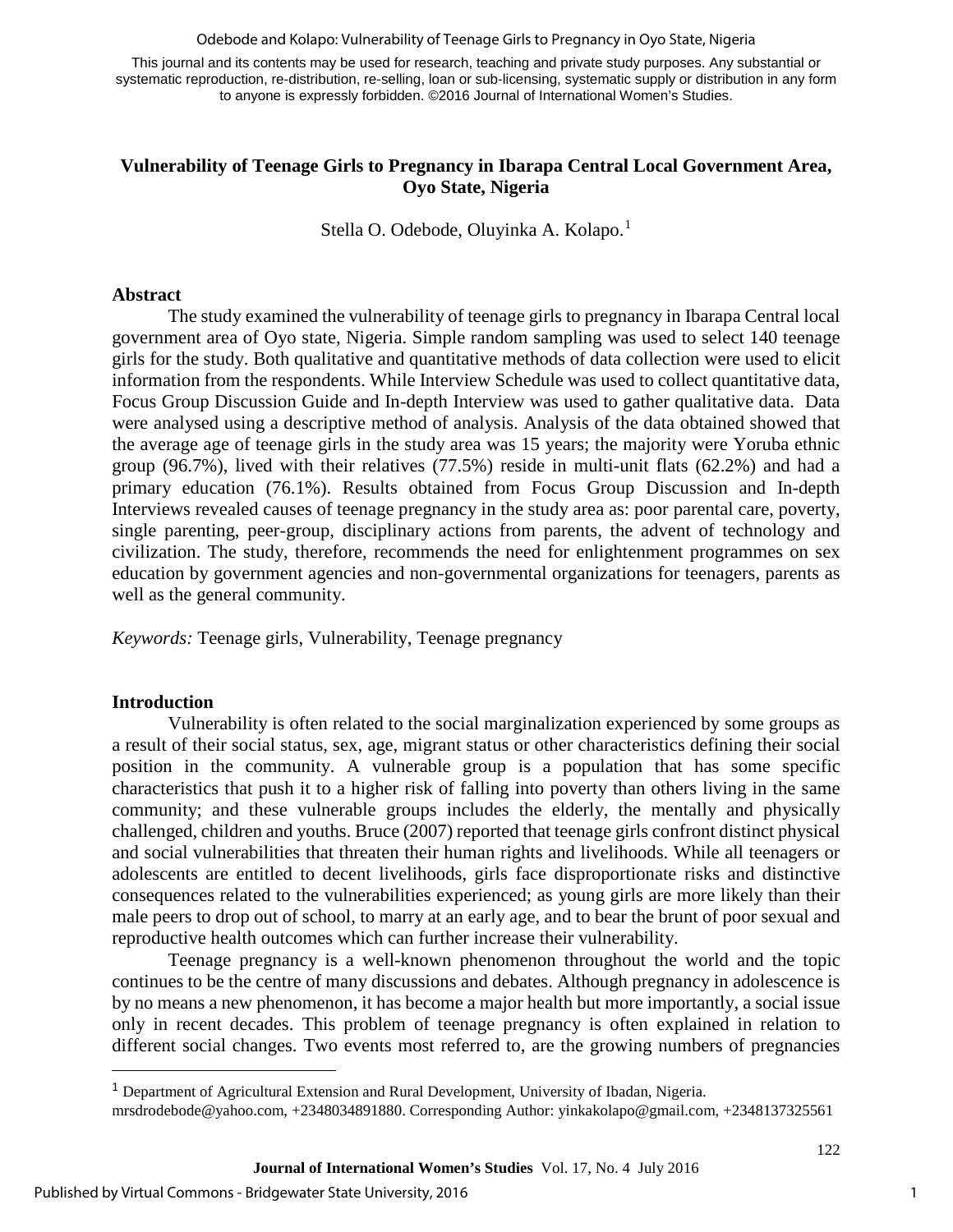Odebode and Kolapo: Vulnerability of Teenage Girls to Pregnancy in Oyo State, Nigeria

This journal and its contents may be used for research, teaching and private study purposes. Any substantial or systematic reproduction, re-distribution, re-selling, loan or sub-licensing, systematic supply or distribution in any form to anyone is expressly forbidden. ©2016 Journal of International Women's Studies.

### **Vulnerability of Teenage Girls to Pregnancy in Ibarapa Central Local Government Area, Oyo State, Nigeria**

Stella O. Odebode, Oluyinka A. Kolapo.<sup>[1](#page-1-0)</sup>

#### **Abstract**

The study examined the vulnerability of teenage girls to pregnancy in Ibarapa Central local government area of Oyo state, Nigeria. Simple random sampling was used to select 140 teenage girls for the study. Both qualitative and quantitative methods of data collection were used to elicit information from the respondents. While Interview Schedule was used to collect quantitative data, Focus Group Discussion Guide and In-depth Interview was used to gather qualitative data. Data were analysed using a descriptive method of analysis. Analysis of the data obtained showed that the average age of teenage girls in the study area was 15 years; the majority were Yoruba ethnic group (96.7%), lived with their relatives (77.5%) reside in multi-unit flats (62.2%) and had a primary education (76.1%). Results obtained from Focus Group Discussion and In-depth Interviews revealed causes of teenage pregnancy in the study area as: poor parental care, poverty, single parenting, peer-group, disciplinary actions from parents, the advent of technology and civilization. The study, therefore, recommends the need for enlightenment programmes on sex education by government agencies and non-governmental organizations for teenagers, parents as well as the general community.

*Keywords:* Teenage girls, Vulnerability, Teenage pregnancy

#### **Introduction**

l

Vulnerability is often related to the social marginalization experienced by some groups as a result of their social status, sex, age, migrant status or other characteristics defining their social position in the community. A vulnerable group is a population that has some specific characteristics that push it to a higher risk of falling into poverty than others living in the same community; and these vulnerable groups includes the elderly, the mentally and physically challenged, children and youths. Bruce (2007) reported that teenage girls confront distinct physical and social vulnerabilities that threaten their human rights and livelihoods. While all teenagers or adolescents are entitled to decent livelihoods, girls face disproportionate risks and distinctive consequences related to the vulnerabilities experienced; as young girls are more likely than their male peers to drop out of school, to marry at an early age, and to bear the brunt of poor sexual and reproductive health outcomes which can further increase their vulnerability.

Teenage pregnancy is a well-known phenomenon throughout the world and the topic continues to be the centre of many discussions and debates. Although pregnancy in adolescence is by no means a new phenomenon, it has become a major health but more importantly, a social issue only in recent decades. This problem of teenage pregnancy is often explained in relation to different social changes. Two events most referred to, are the growing numbers of pregnancies

<span id="page-1-0"></span><sup>1</sup> Department of Agricultural Extension and Rural Development, University of Ibadan, Nigeria.

mrsdrodebode@yahoo.com, +2348034891880. Corresponding Author: [yinkakolapo@gmail.com,](mailto:yinkakolapo@gmail.com) +2348137325561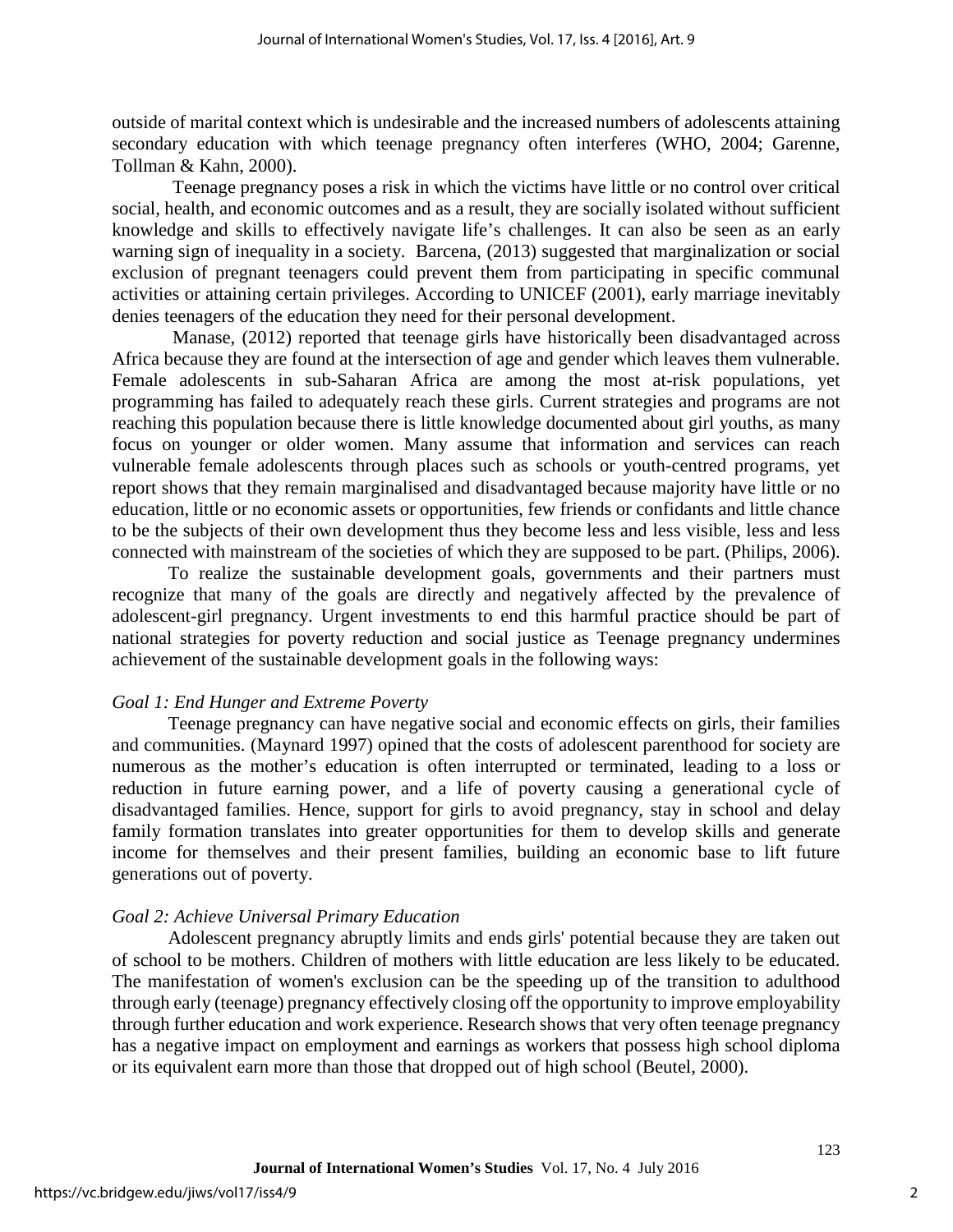outside of marital context which is undesirable and the increased numbers of adolescents attaining secondary education with which teenage pregnancy often interferes (WHO, 2004; Garenne, Tollman & Kahn, 2000).

 Teenage pregnancy poses a risk in which the victims have little or no control over critical social, health, and economic outcomes and as a result, they are socially isolated without sufficient knowledge and skills to effectively navigate life's challenges. It can also be seen as an early warning sign of inequality in a society. Barcena, (2013) suggested that marginalization or social exclusion of pregnant teenagers could prevent them from participating in specific communal activities or attaining certain privileges. According to UNICEF (2001), early marriage inevitably denies teenagers of the education they need for their personal development.

Manase, (2012) reported that teenage girls have historically been disadvantaged across Africa because they are found at the intersection of age and gender which leaves them vulnerable. Female adolescents in sub-Saharan Africa are among the most at-risk populations, yet programming has failed to adequately reach these girls. Current strategies and programs are not reaching this population because there is little knowledge documented about girl youths, as many focus on younger or older women. Many assume that information and services can reach vulnerable female adolescents through places such as schools or youth-centred programs, yet report shows that they remain marginalised and disadvantaged because majority have little or no education, little or no economic assets or opportunities, few friends or confidants and little chance to be the subjects of their own development thus they become less and less visible, less and less connected with mainstream of the societies of which they are supposed to be part. (Philips, 2006).

To realize the sustainable development goals, governments and their partners must recognize that many of the goals are directly and negatively affected by the prevalence of adolescent-girl pregnancy. Urgent investments to end this harmful practice should be part of national strategies for poverty reduction and social justice as Teenage pregnancy undermines achievement of the sustainable development goals in the following ways:

#### *Goal 1: End Hunger and Extreme Poverty*

Teenage pregnancy can have negative social and economic effects on girls, their families and communities. (Maynard 1997) opined that the costs of adolescent parenthood for society are numerous as the mother's education is often interrupted or terminated, leading to a loss or reduction in future earning power, and a life of poverty causing a generational cycle of disadvantaged families. Hence, support for girls to avoid pregnancy, stay in school and delay family formation translates into greater opportunities for them to develop skills and generate income for themselves and their present families, building an economic base to lift future generations out of poverty.

#### *Goal 2: Achieve Universal Primary Education*

Adolescent pregnancy abruptly limits and ends girls' potential because they are taken out of school to be mothers. Children of mothers with little education are less likely to be educated. The manifestation of women's exclusion can be the speeding up of the transition to adulthood through early (teenage) pregnancy effectively closing off the opportunity to improve employability through further education and work experience. Research shows that very often teenage pregnancy has a negative impact on employment and earnings as workers that possess high school diploma or its equivalent earn more than those that dropped out of high school (Beutel, 2000).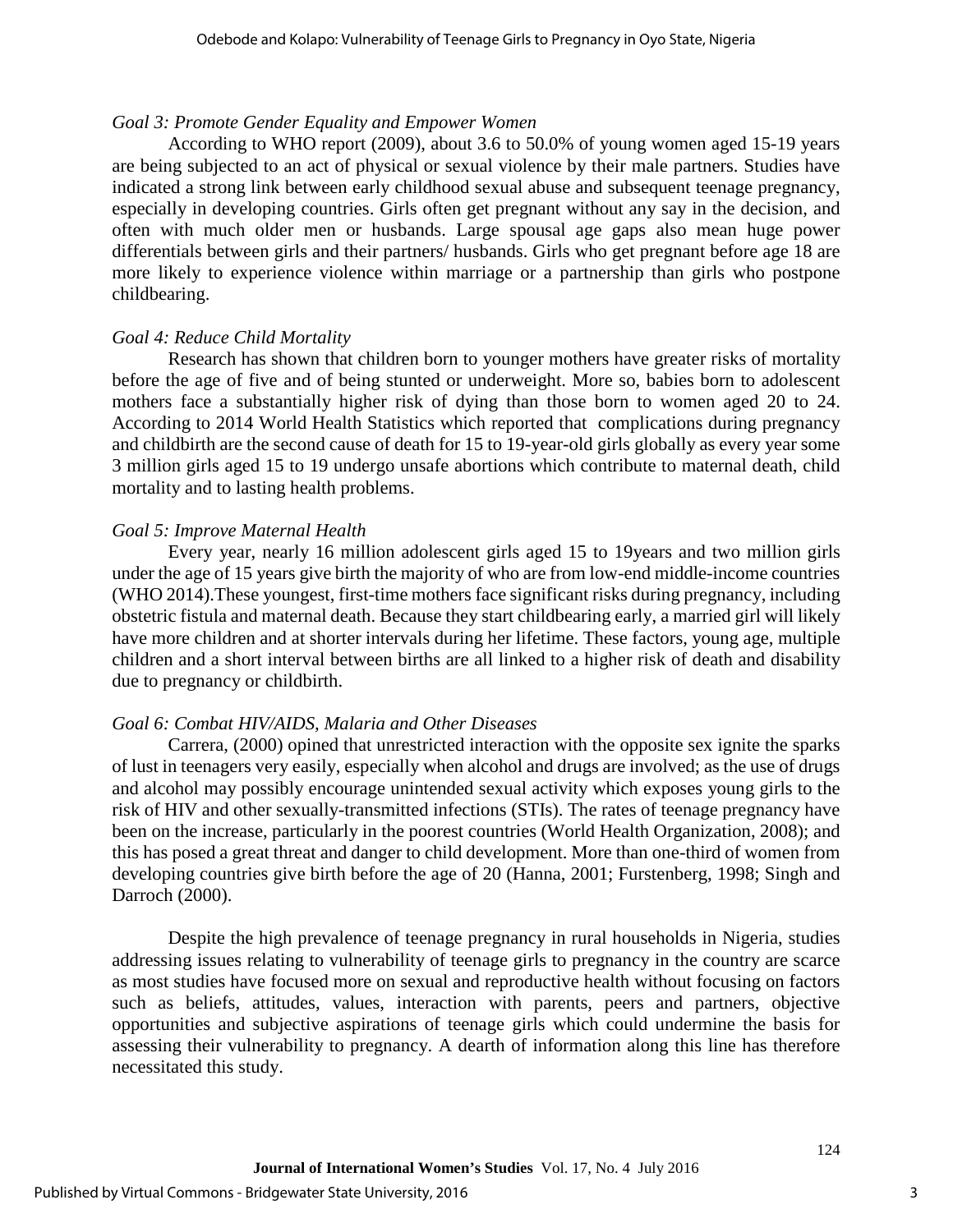#### *Goal 3: Promote Gender Equality and Empower Women*

According to WHO report (2009), about 3.6 to 50.0% of young women aged 15-19 years are being subjected to an act of physical or sexual violence by their male partners. Studies have indicated a strong link between early childhood sexual abuse and subsequent teenage pregnancy, especially in developing countries. Girls often get pregnant without any say in the decision, and often with much older men or husbands. Large spousal age gaps also mean huge power differentials between girls and their partners/ husbands. Girls who get pregnant before age 18 are more likely to experience violence within marriage or a partnership than girls who postpone childbearing.

#### *Goal 4: Reduce Child Mortality*

Research has shown that children born to younger mothers have greater risks of mortality before the age of five and of being stunted or underweight. More so, babies born to adolescent mothers face a substantially higher risk of dying than those born to women aged 20 to 24. According to 2014 World Health Statistics which reported that complications during pregnancy and childbirth are the second cause of death for 15 to 19-year-old girls globally as every year some 3 million girls aged 15 to 19 undergo unsafe abortions which contribute to maternal death, child mortality and to lasting health problems.

#### *Goal 5: Improve Maternal Health*

Every year, nearly 16 million adolescent girls aged 15 to 19years and two million girls under the age of 15 years give birth the majority of who are from low-end middle-income countries (WHO 2014).These youngest, first-time mothers face significant risks during pregnancy, including obstetric fistula and maternal death. Because they start childbearing early, a married girl will likely have more children and at shorter intervals during her lifetime. These factors, young age, multiple children and a short interval between births are all linked to a higher risk of death and disability due to pregnancy or childbirth.

#### *Goal 6: Combat HIV/AIDS, Malaria and Other Diseases*

Carrera, (2000) opined that unrestricted interaction with the opposite sex ignite the sparks of lust in teenagers very easily, especially when alcohol and drugs are involved; as the use of drugs and alcohol may possibly encourage unintended sexual activity which exposes young girls to the risk of HIV and other sexually-transmitted infections (STIs). The rates of teenage pregnancy have been on the increase, particularly in the poorest countries (World Health Organization, 2008); and this has posed a great threat and danger to child development. More than one-third of women from developing countries give birth before the age of 20 (Hanna, 2001; Furstenberg, 1998; Singh and Darroch (2000).

Despite the high prevalence of teenage pregnancy in rural households in Nigeria, studies addressing issues relating to vulnerability of teenage girls to pregnancy in the country are scarce as most studies have focused more on sexual and reproductive health without focusing on factors such as beliefs, attitudes, values, interaction with parents, peers and partners, objective opportunities and subjective aspirations of teenage girls which could undermine the basis for assessing their vulnerability to pregnancy. A dearth of information along this line has therefore necessitated this study.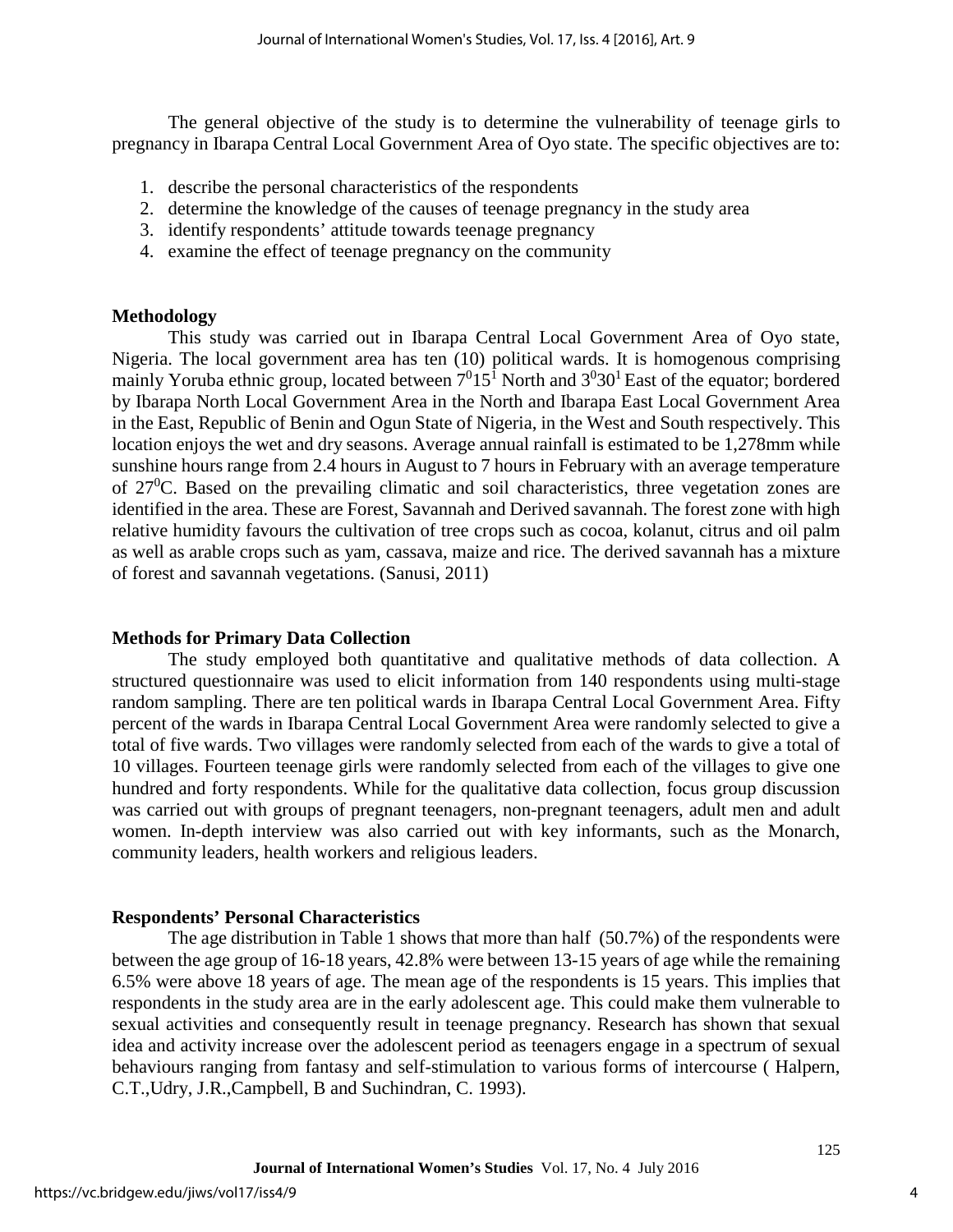The general objective of the study is to determine the vulnerability of teenage girls to pregnancy in Ibarapa Central Local Government Area of Oyo state. The specific objectives are to:

- 1. describe the personal characteristics of the respondents
- 2. determine the knowledge of the causes of teenage pregnancy in the study area
- 3. identify respondents' attitude towards teenage pregnancy
- 4. examine the effect of teenage pregnancy on the community

#### **Methodology**

This study was carried out in Ibarapa Central Local Government Area of Oyo state, Nigeria. The local government area has ten (10) political wards. It is homogenous comprising mainly Yoruba ethnic group, located between  $7^015^1$  North and  $3^030^1$  East of the equator; bordered by Ibarapa North Local Government Area in the North and Ibarapa East Local Government Area in the East, Republic of Benin and Ogun State of Nigeria, in the West and South respectively. This location enjoys the wet and dry seasons. Average annual rainfall is estimated to be 1,278mm while sunshine hours range from 2.4 hours in August to 7 hours in February with an average temperature of  $27^{\circ}$ C. Based on the prevailing climatic and soil characteristics, three vegetation zones are identified in the area. These are Forest, Savannah and Derived savannah. The forest zone with high relative humidity favours the cultivation of tree crops such as cocoa, kolanut, citrus and oil palm as well as arable crops such as yam, cassava, maize and rice. The derived savannah has a mixture of forest and savannah vegetations. (Sanusi, 2011)

## **Methods for Primary Data Collection**

The study employed both quantitative and qualitative methods of data collection. A structured questionnaire was used to elicit information from 140 respondents using multi-stage random sampling. There are ten political wards in Ibarapa Central Local Government Area. Fifty percent of the wards in Ibarapa Central Local Government Area were randomly selected to give a total of five wards. Two villages were randomly selected from each of the wards to give a total of 10 villages. Fourteen teenage girls were randomly selected from each of the villages to give one hundred and forty respondents. While for the qualitative data collection, focus group discussion was carried out with groups of pregnant teenagers, non-pregnant teenagers, adult men and adult women. In-depth interview was also carried out with key informants, such as the Monarch, community leaders, health workers and religious leaders.

## **Respondents' Personal Characteristics**

The age distribution in Table 1 shows that more than half (50.7%) of the respondents were between the age group of 16-18 years, 42.8% were between 13-15 years of age while the remaining 6.5% were above 18 years of age. The mean age of the respondents is 15 years. This implies that respondents in the study area are in the early adolescent age. This could make them vulnerable to sexual activities and consequently result in teenage pregnancy. Research has shown that sexual idea and activity increase over the adolescent period as teenagers engage in a spectrum of sexual behaviours ranging from fantasy and self-stimulation to various forms of intercourse ( Halpern, C.T.,Udry, J.R.,Campbell, B and Suchindran, C. 1993).

4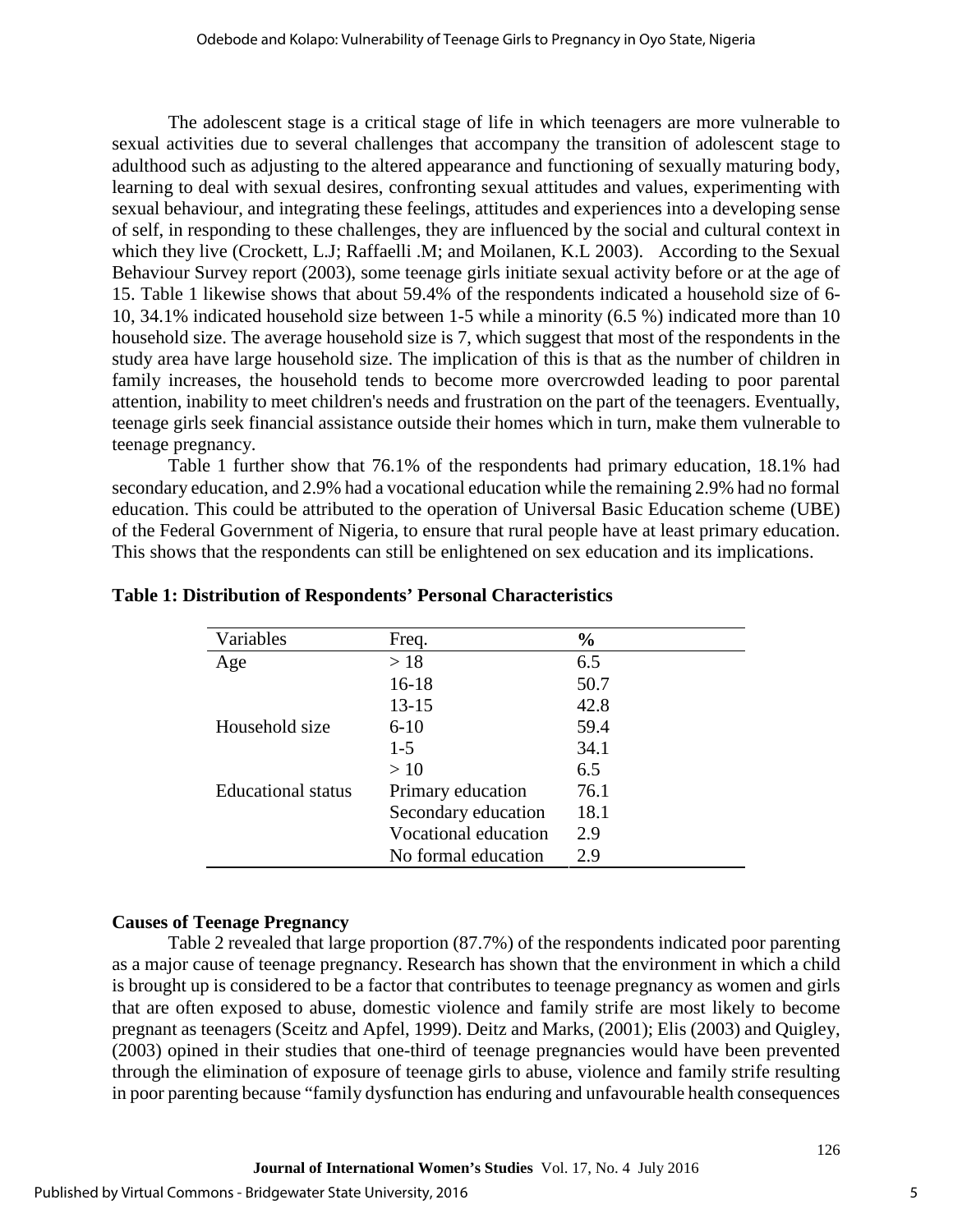The adolescent stage is a critical stage of life in which teenagers are more vulnerable to sexual activities due to several challenges that accompany the transition of adolescent stage to adulthood such as adjusting to the altered appearance and functioning of sexually maturing body, learning to deal with sexual desires, confronting sexual attitudes and values, experimenting with sexual behaviour, and integrating these feelings, attitudes and experiences into a developing sense of self, in responding to these challenges, they are influenced by the social and cultural context in which they live (Crockett, L.J; Raffaelli .M; and Moilanen, K.L 2003). According to the Sexual Behaviour Survey report (2003), some teenage girls initiate sexual activity before or at the age of 15. Table 1 likewise shows that about 59.4% of the respondents indicated a household size of 6- 10, 34.1% indicated household size between 1-5 while a minority (6.5 %) indicated more than 10 household size. The average household size is 7, which suggest that most of the respondents in the study area have large household size. The implication of this is that as the number of children in family increases, the household tends to become more overcrowded leading to poor parental attention, inability to meet children's needs and frustration on the part of the teenagers. Eventually, teenage girls seek financial assistance outside their homes which in turn, make them vulnerable to teenage pregnancy.

Table 1 further show that 76.1% of the respondents had primary education, 18.1% had secondary education, and 2.9% had a vocational education while the remaining 2.9% had no formal education. This could be attributed to the operation of Universal Basic Education scheme (UBE) of the Federal Government of Nigeria, to ensure that rural people have at least primary education. This shows that the respondents can still be enlightened on sex education and its implications.

| Variables          | Freq.                | $\frac{6}{6}$ |
|--------------------|----------------------|---------------|
| Age                | >18                  | 6.5           |
|                    | $16-18$              | 50.7          |
|                    | 13-15                | 42.8          |
| Household size     | $6 - 10$             | 59.4          |
|                    | $1 - 5$              | 34.1          |
|                    | >10                  | 6.5           |
| Educational status | Primary education    | 76.1          |
|                    | Secondary education  | 18.1          |
|                    | Vocational education | 2.9           |
|                    | No formal education  | 2.9           |

#### **Table 1: Distribution of Respondents' Personal Characteristics**

## **Causes of Teenage Pregnancy**

Table 2 revealed that large proportion (87.7%) of the respondents indicated poor parenting as a major cause of teenage pregnancy. Research has shown that the environment in which a child is brought up is considered to be a factor that contributes to teenage pregnancy as women and girls that are often exposed to abuse, domestic violence and family strife are most likely to become pregnant as teenagers (Sceitz and Apfel, 1999). Deitz and Marks, (2001); Elis (2003) and Quigley, (2003) opined in their studies that one-third of teenage pregnancies would have been prevented through the elimination of exposure of teenage girls to abuse, violence and family strife resulting in poor parenting because "family dysfunction has enduring and unfavourable health consequences

5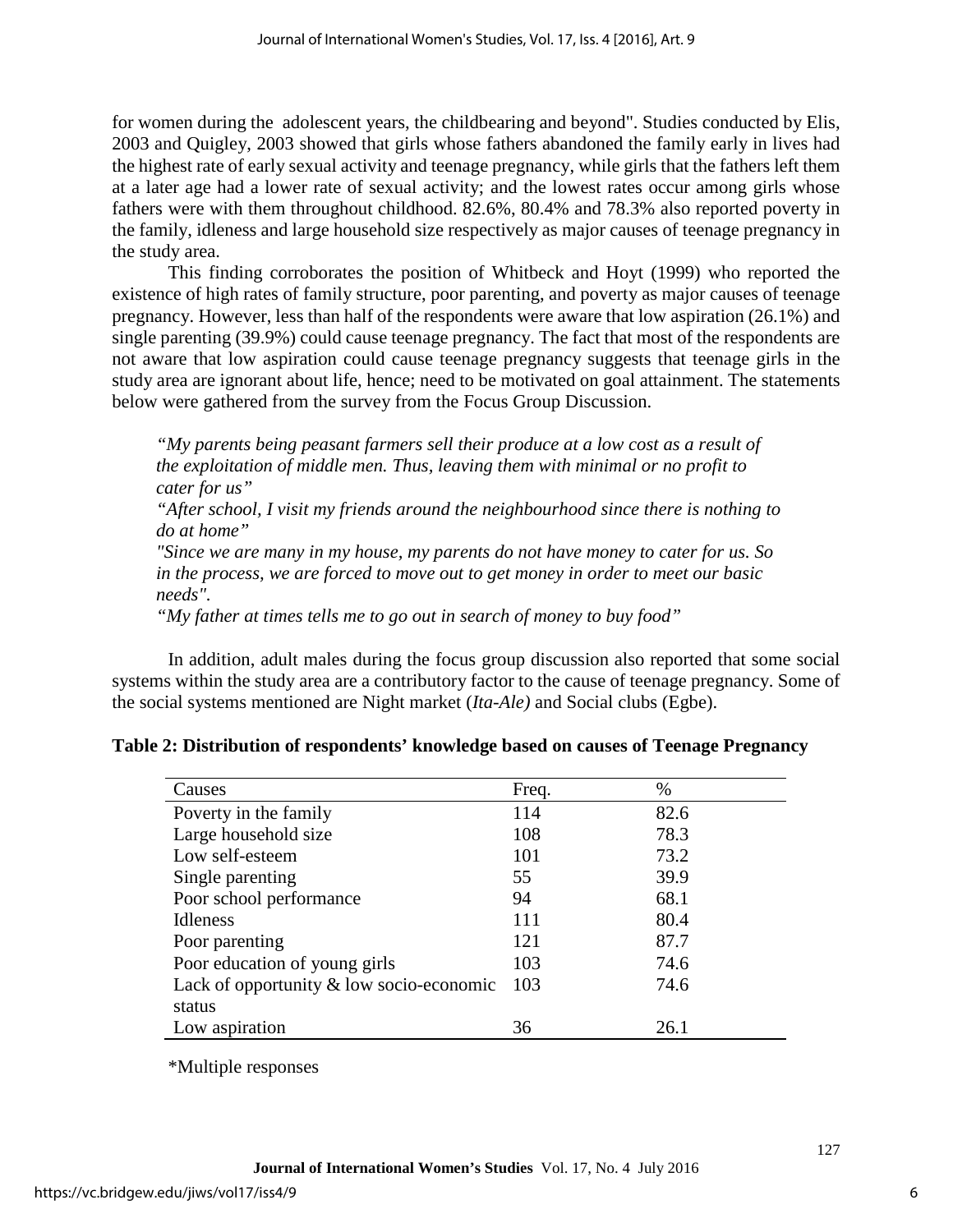for women during the adolescent years, the childbearing and beyond". Studies conducted by Elis, 2003 and Quigley, 2003 showed that girls whose fathers abandoned the family early in lives had the highest rate of early sexual activity and teenage pregnancy, while girls that the fathers left them at a later age had a lower rate of sexual activity; and the lowest rates occur among girls whose fathers were with them throughout childhood. 82.6%, 80.4% and 78.3% also reported poverty in the family, idleness and large household size respectively as major causes of teenage pregnancy in the study area.

This finding corroborates the position of Whitbeck and Hoyt (1999) who reported the existence of high rates of family structure, poor parenting, and poverty as major causes of teenage pregnancy. However, less than half of the respondents were aware that low aspiration (26.1%) and single parenting (39.9%) could cause teenage pregnancy. The fact that most of the respondents are not aware that low aspiration could cause teenage pregnancy suggests that teenage girls in the study area are ignorant about life, hence; need to be motivated on goal attainment. The statements below were gathered from the survey from the Focus Group Discussion.

*"My parents being peasant farmers sell their produce at a low cost as a result of the exploitation of middle men. Thus, leaving them with minimal or no profit to cater for us"* 

*"After school, I visit my friends around the neighbourhood since there is nothing to do at home"* 

*"Since we are many in my house, my parents do not have money to cater for us. So in the process, we are forced to move out to get money in order to meet our basic needs".*

*"My father at times tells me to go out in search of money to buy food"* 

In addition, adult males during the focus group discussion also reported that some social systems within the study area are a contributory factor to the cause of teenage pregnancy. Some of the social systems mentioned are Night market (*Ita-Ale)* and Social clubs (Egbe).

## **Table 2: Distribution of respondents' knowledge based on causes of Teenage Pregnancy**

| Causes                                   | Freq. | $\%$ |
|------------------------------------------|-------|------|
| Poverty in the family                    | 114   | 82.6 |
| Large household size                     | 108   | 78.3 |
| Low self-esteem                          | 101   | 73.2 |
| Single parenting                         | 55    | 39.9 |
| Poor school performance                  | 94    | 68.1 |
| Idleness                                 | 111   | 80.4 |
| Poor parenting                           | 121   | 87.7 |
| Poor education of young girls            | 103   | 74.6 |
| Lack of opportunity & low socio-economic | - 103 | 74.6 |
| status                                   |       |      |
| Low aspiration                           | 36    | 26.1 |

\*Multiple responses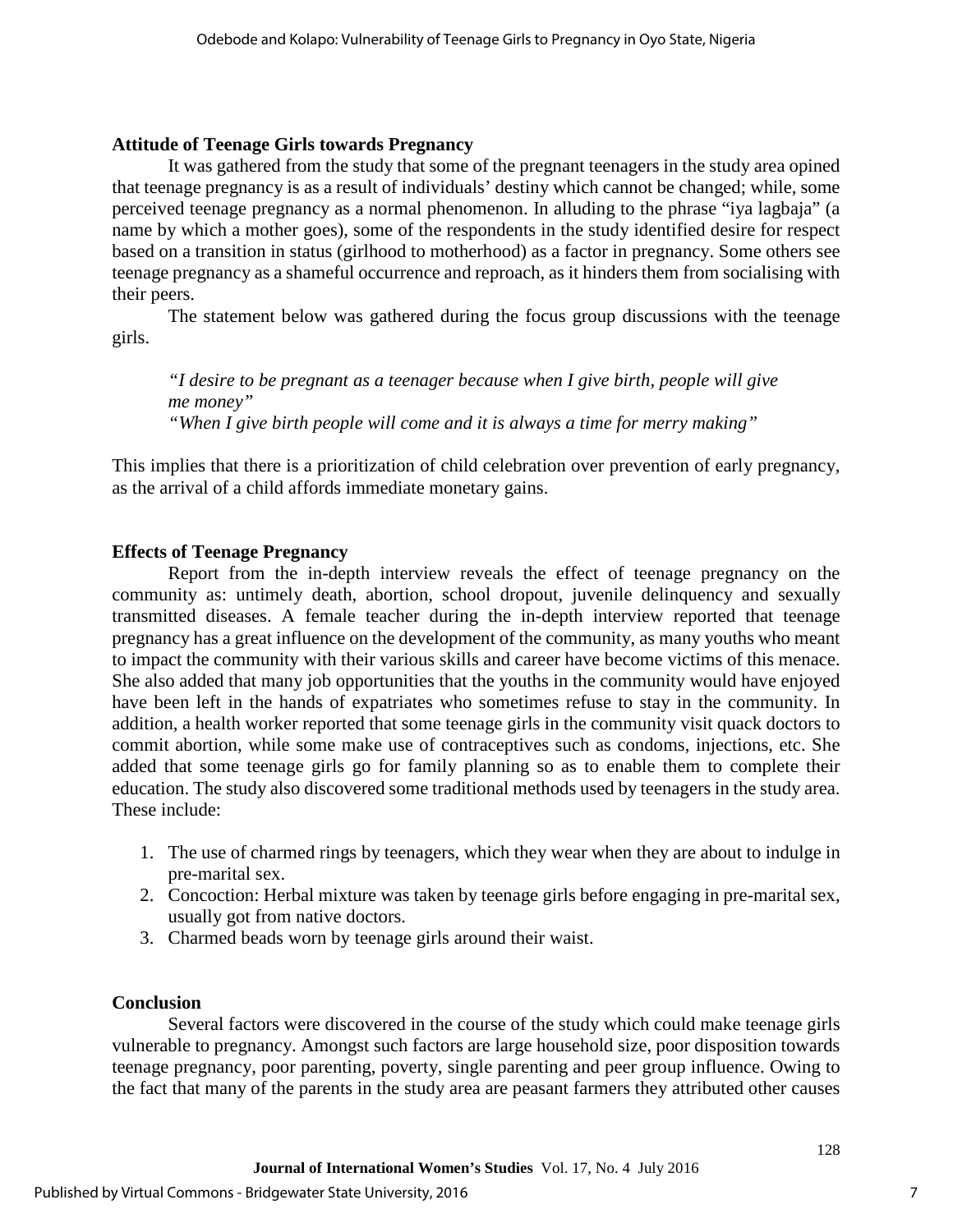#### **Attitude of Teenage Girls towards Pregnancy**

It was gathered from the study that some of the pregnant teenagers in the study area opined that teenage pregnancy is as a result of individuals' destiny which cannot be changed; while, some perceived teenage pregnancy as a normal phenomenon. In alluding to the phrase "iya lagbaja" (a name by which a mother goes), some of the respondents in the study identified desire for respect based on a transition in status (girlhood to motherhood) as a factor in pregnancy. Some others see teenage pregnancy as a shameful occurrence and reproach, as it hinders them from socialising with their peers.

The statement below was gathered during the focus group discussions with the teenage girls.

*"I desire to be pregnant as a teenager because when I give birth, people will give me money" "When I give birth people will come and it is always a time for merry making"* 

This implies that there is a prioritization of child celebration over prevention of early pregnancy, as the arrival of a child affords immediate monetary gains.

#### **Effects of Teenage Pregnancy**

Report from the in-depth interview reveals the effect of teenage pregnancy on the community as: untimely death, abortion, school dropout, juvenile delinquency and sexually transmitted diseases. A female teacher during the in-depth interview reported that teenage pregnancy has a great influence on the development of the community, as many youths who meant to impact the community with their various skills and career have become victims of this menace. She also added that many job opportunities that the youths in the community would have enjoyed have been left in the hands of expatriates who sometimes refuse to stay in the community. In addition, a health worker reported that some teenage girls in the community visit quack doctors to commit abortion, while some make use of contraceptives such as condoms, injections, etc. She added that some teenage girls go for family planning so as to enable them to complete their education. The study also discovered some traditional methods used by teenagers in the study area. These include:

- 1. The use of charmed rings by teenagers, which they wear when they are about to indulge in pre-marital sex.
- 2. Concoction: Herbal mixture was taken by teenage girls before engaging in pre-marital sex, usually got from native doctors.
- 3. Charmed beads worn by teenage girls around their waist.

#### **Conclusion**

Several factors were discovered in the course of the study which could make teenage girls vulnerable to pregnancy. Amongst such factors are large household size, poor disposition towards teenage pregnancy, poor parenting, poverty, single parenting and peer group influence. Owing to the fact that many of the parents in the study area are peasant farmers they attributed other causes

7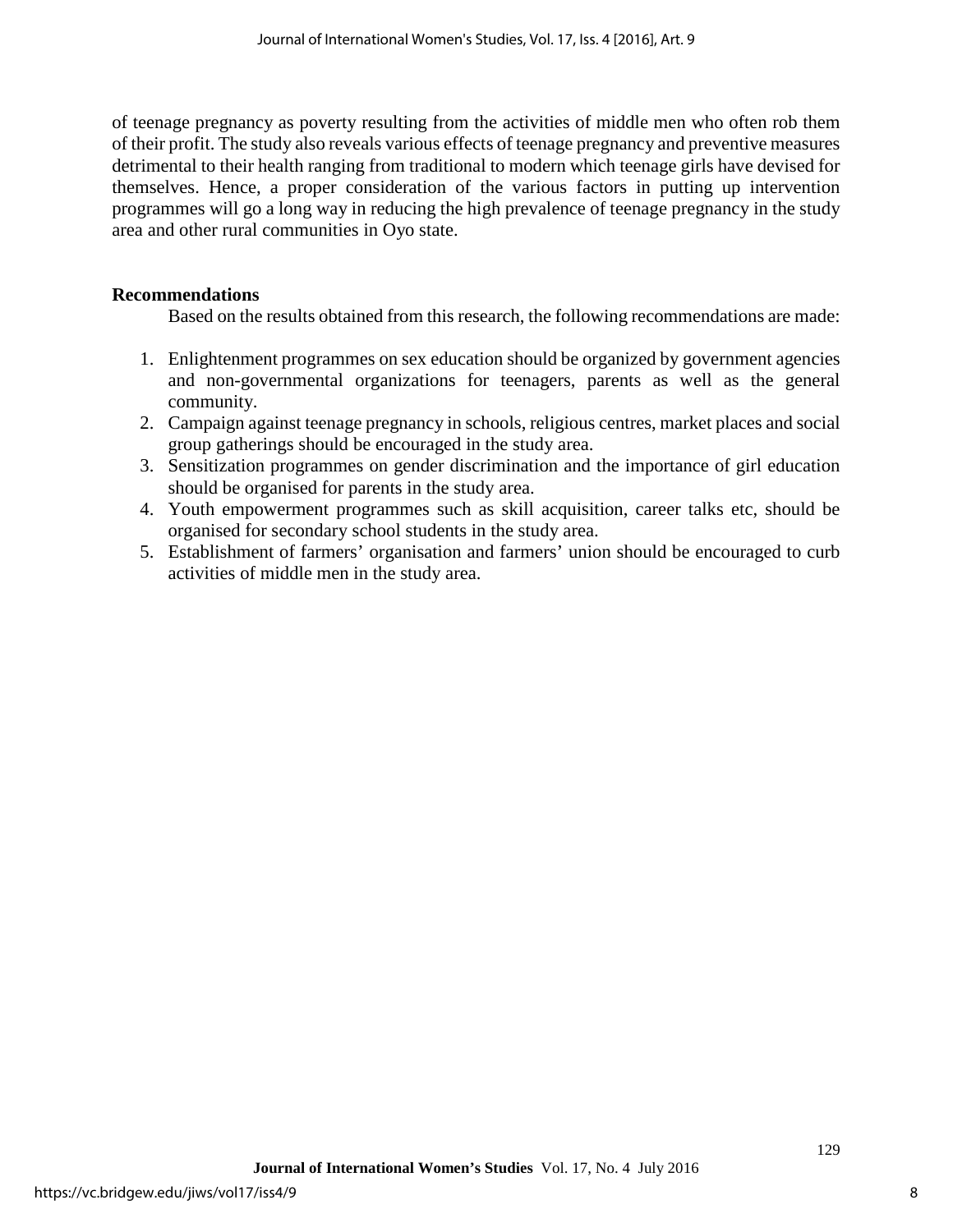of teenage pregnancy as poverty resulting from the activities of middle men who often rob them of their profit. The study also reveals various effects of teenage pregnancy and preventive measures detrimental to their health ranging from traditional to modern which teenage girls have devised for themselves. Hence, a proper consideration of the various factors in putting up intervention programmes will go a long way in reducing the high prevalence of teenage pregnancy in the study area and other rural communities in Oyo state.

#### **Recommendations**

Based on the results obtained from this research, the following recommendations are made:

- 1. Enlightenment programmes on sex education should be organized by government agencies and non-governmental organizations for teenagers, parents as well as the general community.
- 2. Campaign against teenage pregnancy in schools, religious centres, market places and social group gatherings should be encouraged in the study area.
- 3. Sensitization programmes on gender discrimination and the importance of girl education should be organised for parents in the study area.
- 4. Youth empowerment programmes such as skill acquisition, career talks etc, should be organised for secondary school students in the study area.
- 5. Establishment of farmers' organisation and farmers' union should be encouraged to curb activities of middle men in the study area.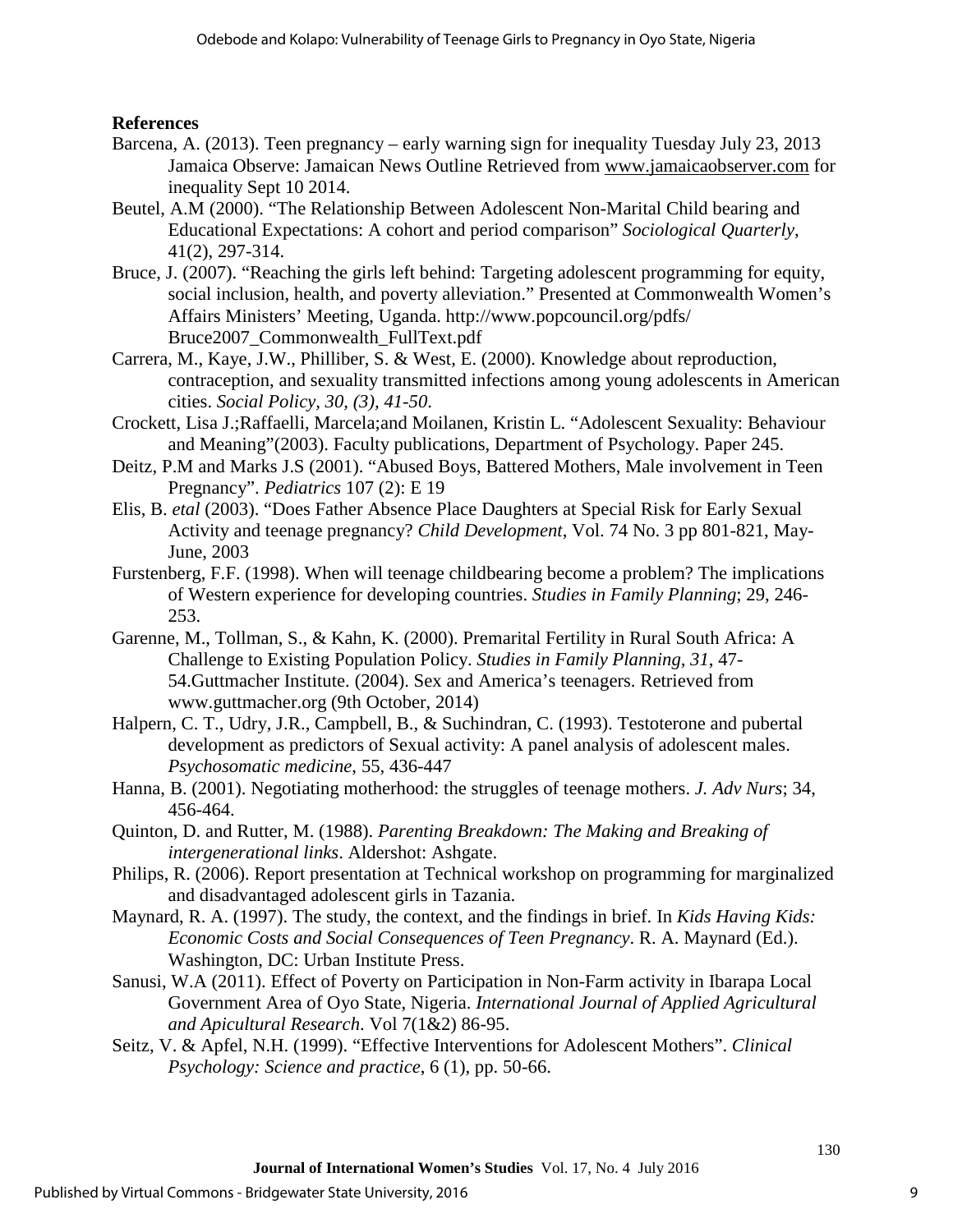## **References**

- Barcena, A. (2013). Teen pregnancy early warning sign for inequality Tuesday July 23, 2013 Jamaica Observe: Jamaican News Outline Retrieved from [www.jamaicaobserver.com](http://www.jamaicaobserver.com/) for inequality Sept 10 2014.
- Beutel, A.M (2000). "The Relationship Between Adolescent Non-Marital Child bearing and Educational Expectations: A cohort and period comparison" *Sociological Quarterly*, 41(2), 297-314.
- Bruce, J. (2007). "Reaching the girls left behind: Targeting adolescent programming for equity, social inclusion, health, and poverty alleviation." Presented at Commonwealth Women's Affairs Ministers' Meeting, Uganda. http://www.popcouncil.org/pdfs/ Bruce2007\_Commonwealth\_FullText.pdf
- Carrera, M., Kaye, J.W., Philliber, S. & West, E. (2000). Knowledge about reproduction, contraception, and sexuality transmitted infections among young adolescents in American cities. *Social Policy, 30, (3), 41-50*.
- Crockett, Lisa J.;Raffaelli, Marcela;and Moilanen, Kristin L. "Adolescent Sexuality: Behaviour and Meaning"(2003). Faculty publications, Department of Psychology. Paper 245.
- Deitz, P.M and Marks J.S (2001). "Abused Boys, Battered Mothers, Male involvement in Teen Pregnancy". *Pediatrics* 107 (2): E 19
- Elis, B. *etal* (2003). "Does Father Absence Place Daughters at Special Risk for Early Sexual Activity and teenage pregnancy? *Child Development*, Vol. 74 No. 3 pp 801-821, May-June, 2003
- Furstenberg, F.F. (1998). When will teenage childbearing become a problem? The implications of Western experience for developing countries. *Studies in Family Planning*; 29, 246- 253.
- Garenne, M., Tollman, S., & Kahn, K. (2000). Premarital Fertility in Rural South Africa: A Challenge to Existing Population Policy. *Studies in Family Planning, 31*, 47- 54.Guttmacher Institute. (2004). Sex and America's teenagers. Retrieved from www.guttmacher.org (9th October, 2014)
- Halpern, C. T., Udry, J.R., Campbell, B., & Suchindran, C. (1993). Testoterone and pubertal development as predictors of Sexual activity: A panel analysis of adolescent males. *Psychosomatic medicine*, 55, 436-447
- Hanna, B. (2001). Negotiating motherhood: the struggles of teenage mothers. *J. Adv Nurs*; 34, 456-464.
- Quinton, D. and Rutter, M. (1988). *Parenting Breakdown: The Making and Breaking of intergenerational links*. Aldershot: Ashgate.
- Philips, R. (2006). Report presentation at Technical workshop on programming for marginalized and disadvantaged adolescent girls in Tazania.
- Maynard, R. A. (1997). The study, the context, and the findings in brief. In *Kids Having Kids: Economic Costs and Social Consequences of Teen Pregnancy*. R. A. Maynard (Ed.). Washington, DC: Urban Institute Press.
- Sanusi, W.A (2011). Effect of Poverty on Participation in Non-Farm activity in Ibarapa Local Government Area of Oyo State, Nigeria. *International Journal of Applied Agricultural and Apicultural Research*. Vol 7(1&2) 86-95.
- Seitz, V. & Apfel, N.H. (1999). "Effective Interventions for Adolescent Mothers". *Clinical Psychology: Science and practice*, 6 (1), pp. 50-66.